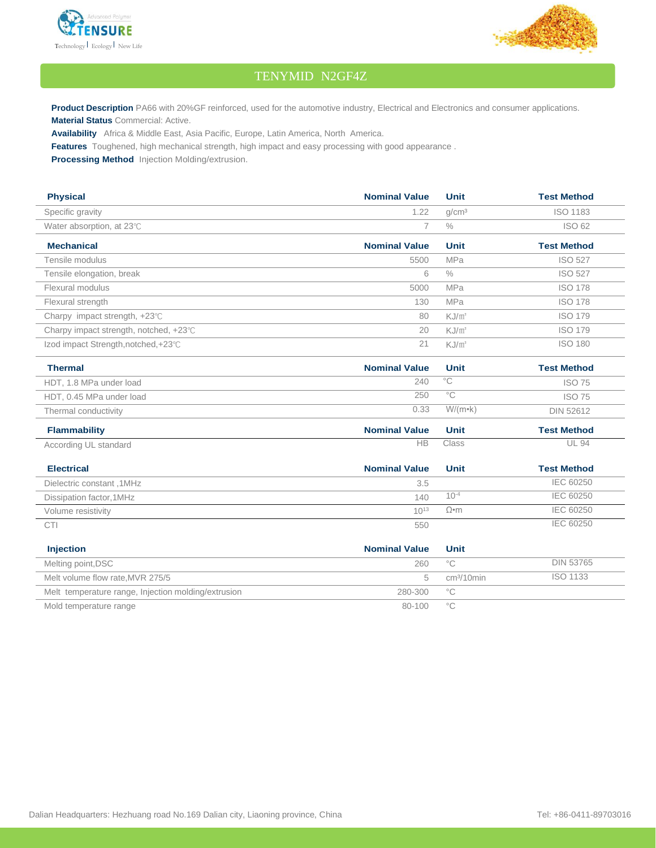



## TENYMID N2GF4Z

Product Description PA66 with 20%GF reinforced, used for the automotive industry, Electrical and Electronics and consumer applications. **Material Status** Commercial: Active.

**Availability** Africa & Middle East, Asia Pacific, Europe, Latin America, North America.

**Features** Toughened, high mechanical strength, high impact and easy processing with good appearance .

**Processing Method** Injection Molding/extrusion.

| <b>Physical</b>                         | <b>Nominal Value</b> | <b>Unit</b>       | <b>Test Method</b> |
|-----------------------------------------|----------------------|-------------------|--------------------|
| Specific gravity                        | 1.22                 | q/cm <sup>3</sup> | <b>ISO 1183</b>    |
| Water absorption, at 23°C               |                      | $\%$              | <b>ISO 62</b>      |
| <b>Mechanical</b>                       | <b>Nominal Value</b> | <b>Unit</b>       | <b>Test Method</b> |
| Tensile modulus                         | 5500                 | <b>MPa</b>        | <b>ISO 527</b>     |
| Tensile elongation, break               | 6                    | $\%$              | <b>ISO 527</b>     |
| Flexural modulus                        | 5000                 | <b>MPa</b>        | <b>ISO 178</b>     |
| Flexural strength                       | 130                  | <b>MPa</b>        | <b>ISO 178</b>     |
| Charpy impact strength, $+23^{\circ}$ C | 80                   | KJ/m <sup>2</sup> | <b>ISO 179</b>     |
| Charpy impact strength, notched, +23°C  | 20                   | KJ/m <sup>2</sup> | <b>ISO 179</b>     |
| Izod impact Strength, notched, +23℃     | 21                   | KJ/m <sup>2</sup> | <b>ISO 180</b>     |
| <b>Thermal</b>                          | <b>Nominal Value</b> | <b>Unit</b>       | <b>Test Method</b> |

| 1115111161               | $\blacksquare$ | .                   | TG91 MG4104      |
|--------------------------|----------------|---------------------|------------------|
| HDT, 1.8 MPa under load  | 240            | $\circ$ $\cap$<br>◡ | <b>ISO 75</b>    |
| HDT, 0.45 MPa under load | 250            | $\circ$             | <b>ISO 75</b>    |
| Thermal conductivity     | 0.33           | $W/(m \cdot k)$     | <b>DIN 52612</b> |

| <b>Flammability</b>   | <b>Nominal Value</b> | Unit  | <b>Test Method</b> |
|-----------------------|----------------------|-------|--------------------|
| According UL standard | ЧB                   | Class | UL 94              |

| <b>Electrical</b>         | <b>Nominal Value</b> | Unit      | <b>Test Method</b> |
|---------------------------|----------------------|-----------|--------------------|
| Dielectric constant, 1MHz | 3.5                  |           | IEC 60250          |
| Dissipation factor, 1MHz  | 140                  | $10^{-4}$ | IEC 60250          |
| Volume resistivity        | $10^{13}$            | Ω•m       | IEC 60250          |
| <b>CTI</b>                | 550                  |           | IEC 60250          |

| <b>Injection</b>                                    | <b>Nominal Value</b> | Unit                   |           |
|-----------------------------------------------------|----------------------|------------------------|-----------|
| Melting point, DSC                                  | 260                  | $\circ$ $\cap$         | DIN 53765 |
| Melt volume flow rate, MVR 275/5                    |                      | cm <sup>3</sup> /10min | ISO 1133  |
| Melt temperature range, Injection molding/extrusion | 280-300              | °€                     |           |
| Mold temperature range                              | 80-100               | ∘೧                     |           |